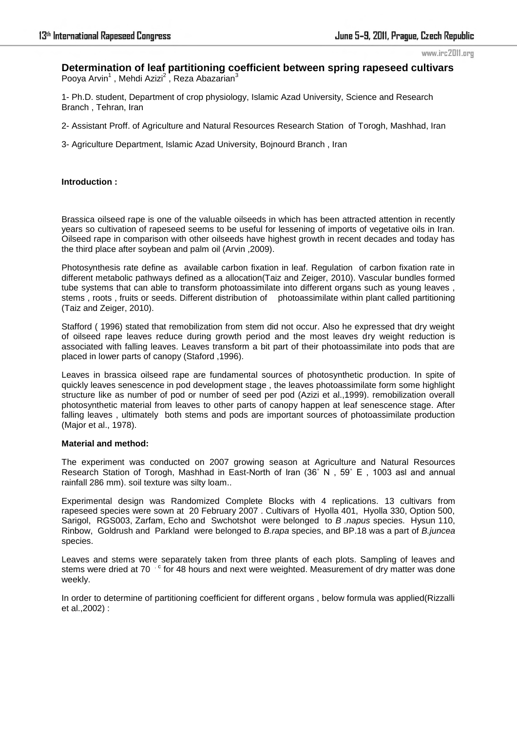#### www.irc2011.org

# **Determination of leaf partitioning coefficient between spring rapeseed cultivars**  Pooya Arvin<sup>1</sup>, Mehdi Azizi<sup>2</sup>, Reza Abazarian<sup>3</sup>

1- Ph.D. student, Department of crop physiology, Islamic Azad University, Science and Research Branch , Tehran, Iran

2- Assistant Proff. of Agriculture and Natural Resources Research Station of Torogh, Mashhad, Iran

3- Agriculture Department, Islamic Azad University, Bojnourd Branch , Iran

### **Introduction :**

Brassica oilseed rape is one of the valuable oilseeds in which has been attracted attention in recently years so cultivation of rapeseed seems to be useful for lessening of imports of vegetative oils in Iran. Oilseed rape in comparison with other oilseeds have highest growth in recent decades and today has the third place after soybean and palm oil (Arvin ,2009).

Photosynthesis rate define as available carbon fixation in leaf. Regulation of carbon fixation rate in different metabolic pathways defined as a allocation(Taiz and Zeiger, 2010). Vascular bundles formed tube systems that can able to transform photoassimilate into different organs such as young leaves , stems , roots , fruits or seeds. Different distribution of photoassimilate within plant called partitioning (Taiz and Zeiger, 2010).

Stafford ( 1996) stated that remobilization from stem did not occur. Also he expressed that dry weight of oilseed rape leaves reduce during growth period and the most leaves dry weight reduction is associated with falling leaves. Leaves transform a bit part of their photoassimilate into pods that are placed in lower parts of canopy (Staford ,1996).

Leaves in brassica oilseed rape are fundamental sources of photosynthetic production. In spite of quickly leaves senescence in pod development stage , the leaves photoassimilate form some highlight structure like as number of pod or number of seed per pod (Azizi et al., 1999). remobilization overall photosynthetic material from leaves to other parts of canopy happen at leaf senescence stage. After falling leaves , ultimately both stems and pods are important sources of photoassimilate production (Major et al., 1978).

# **Material and method:**

The experiment was conducted on 2007 growing season at Agriculture and Natural Resources Research Station of Torogh, Mashhad in East-North of Iran (36˚ N , 59˚ E , 1003 asl and annual rainfall 286 mm). soil texture was silty loam..

Experimental design was Randomized Complete Blocks with 4 replications. 13 cultivars from rapeseed species were sown at 20 February 2007 . Cultivars of Hyolla 401, Hyolla 330, Option 500, Sarigol, RGS003, Zarfam, Echo and Swchotshot were belonged to *B .napus* species. Hysun 110, Rinbow, Goldrush and Parkland were belonged to *B.rapa* species, and BP.18 was a part of *B.juncea* species.

Leaves and stems were separately taken from three plants of each plots. Sampling of leaves and stems were dried at 70 <sup>c</sup> for 48 hours and next were weighted. Measurement of dry matter was done weekly.

In order to determine of partitioning coefficient for different organs , below formula was applied(Rizzalli et al.,2002) :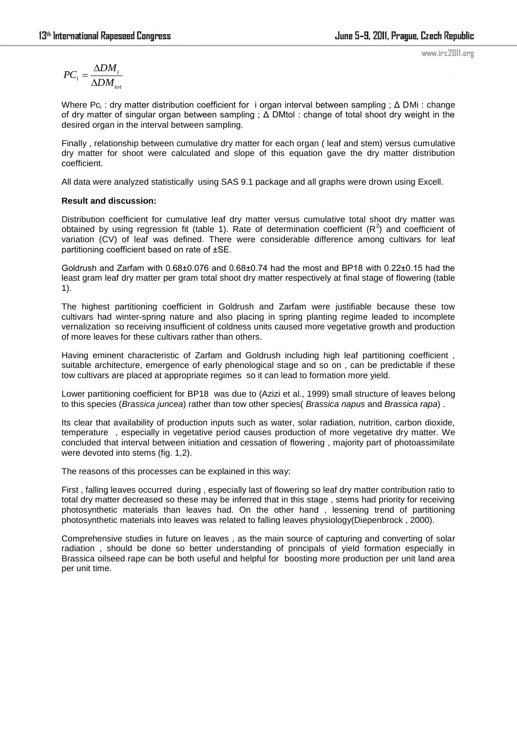$$
PC_i = \frac{\Delta DM_i}{\Delta DM_{tot}}
$$

Where Pc<sub>i</sub>: dry matter distribution coefficient for i organ interval between sampling ; Δ DMi : change of dry matter of singular organ between sampling ; Δ DMtol : change of total shoot dry weight in the desired organ in the interval between sampling.

Finally , relationship between cumulative dry matter for each organ ( leaf and stem) versus cumulative dry matter for shoot were calculated and slope of this equation gave the dry matter distribution coefficient.

All data were analyzed statistically using SAS 9.1 package and all graphs were drown using Excell.

# **Result and discussion:**

Distribution coefficient for cumulative leaf dry matter versus cumulative total shoot dry matter was obtained by using regression fit (table 1). Rate of determination coefficient  $(R^2)$  and coefficient of variation (CV) of leaf was defined. There were considerable difference among cultivars for leaf partitioning coefficient based on rate of ±SE.

Goldrush and Zarfam with 0.68±0.076 and 0.68±0.74 had the most and BP18 with 0.22±0.15 had the least gram leaf dry matter per gram total shoot dry matter respectively at final stage of flowering (table 1).

The highest partitioning coefficient in Goldrush and Zarfam were justifiable because these tow cultivars had winter-spring nature and also placing in spring planting regime leaded to incomplete vernalization so receiving insufficient of coldness units caused more vegetative growth and production of more leaves for these cultivars rather than others.

Having eminent characteristic of Zarfam and Goldrush including high leaf partitioning coefficient , suitable architecture, emergence of early phenological stage and so on , can be predictable if these tow cultivars are placed at appropriate regimes so it can lead to formation more yield.

Lower partitioning coefficient for BP18 was due to (Azizi et al., 1999) small structure of leaves belong to this species (*Brassica juncea*) rather than tow other species( *Brassica napus* and *Brassica rapa*) .

Its clear that availability of production inputs such as water, solar radiation, nutrition, carbon dioxide, temperature , especially in vegetative period causes production of more vegetative dry matter. We concluded that interval between initiation and cessation of flowering , majority part of photoassimilate were devoted into stems (fig. 1,2).

The reasons of this processes can be explained in this way:

First , falling leaves occurred during , especially last of flowering so leaf dry matter contribution ratio to total dry matter decreased so these may be inferred that in this stage , stems had priority for receiving photosynthetic materials than leaves had. On the other hand , lessening trend of partitioning photosynthetic materials into leaves was related to falling leaves physiology(Diepenbrock , 2000).

Comprehensive studies in future on leaves , as the main source of capturing and converting of solar radiation , should be done so better understanding of principals of yield formation especially in Brassica oilseed rape can be both useful and helpful for boosting more production per unit land area per unit time.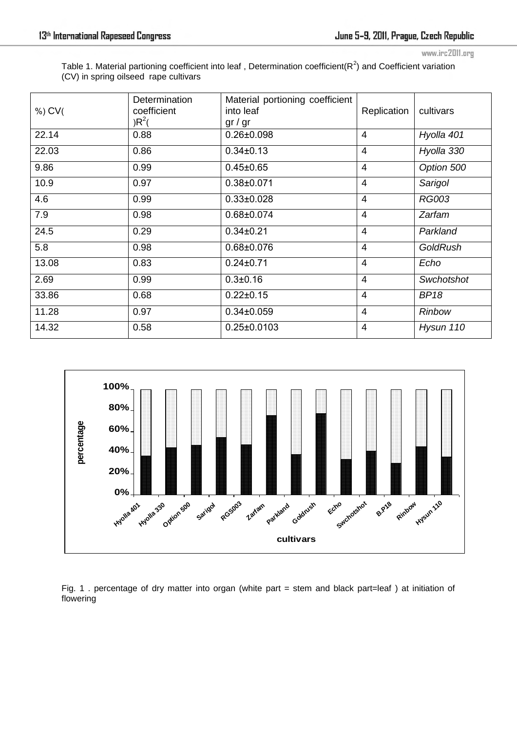www.irc2011.org

Table 1. Material partioning coefficient into leaf, Determination coefficient( $R^2$ ) and Coefficient variation (CV) in spring oilseed rape cultivars

| $%$ ) CV( | Determination<br>coefficient<br>$R^2($ | Material portioning coefficient<br>into leaf<br>gr/gr | Replication    | cultivars       |
|-----------|----------------------------------------|-------------------------------------------------------|----------------|-----------------|
| 22.14     | 0.88                                   | $0.26 \pm 0.098$                                      | 4              | Hyolla 401      |
| 22.03     | 0.86                                   | $0.34 \pm 0.13$                                       | $\overline{4}$ | Hyolla 330      |
| 9.86      | 0.99                                   | $0.45 \pm 0.65$                                       | $\overline{4}$ | Option 500      |
| 10.9      | 0.97                                   | $0.38 \pm 0.071$                                      | 4              | Sarigol         |
| 4.6       | 0.99                                   | $0.33 \pm 0.028$                                      | 4              | <b>RG003</b>    |
| 7.9       | 0.98                                   | 0.68±0.074                                            | $\overline{4}$ | Zarfam          |
| 24.5      | 0.29                                   | $0.34 \pm 0.21$                                       | 4              | Parkland        |
| 5.8       | 0.98                                   | $0.68 \pm 0.076$                                      | 4              | <b>GoldRush</b> |
| 13.08     | 0.83                                   | $0.24 \pm 0.71$                                       | $\overline{4}$ | Echo            |
| 2.69      | 0.99                                   | $0.3 + 0.16$                                          | $\overline{4}$ | Swchotshot      |
| 33.86     | 0.68                                   | $0.22 \pm 0.15$                                       | $\overline{4}$ | <b>BP18</b>     |
| 11.28     | 0.97                                   | $0.34 \pm 0.059$                                      | $\overline{4}$ | <b>Rinbow</b>   |
| 14.32     | 0.58                                   | $0.25 \pm 0.0103$                                     | 4              | Hysun 110       |



Fig. 1 . percentage of dry matter into organ (white part = stem and black part=leaf ) at initiation of flowering